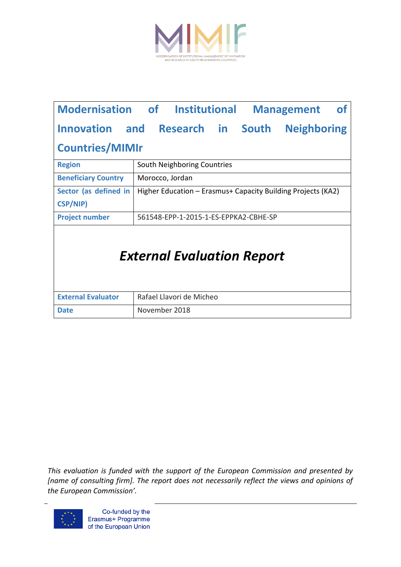

| <b>Modernisation of Institutional</b>    |                                       |                                                              |  |  | <b>Management</b>  | 0t |
|------------------------------------------|---------------------------------------|--------------------------------------------------------------|--|--|--------------------|----|
| Innovation and Research in South         |                                       |                                                              |  |  | <b>Neighboring</b> |    |
| <b>Countries/MIMIr</b>                   |                                       |                                                              |  |  |                    |    |
| <b>Region</b>                            | South Neighboring Countries           |                                                              |  |  |                    |    |
| <b>Beneficiary Country</b>               | Morocco, Jordan                       |                                                              |  |  |                    |    |
| Sector (as defined in<br><b>CSP/NIP)</b> |                                       | Higher Education - Erasmus+ Capacity Building Projects (KA2) |  |  |                    |    |
| <b>Project number</b>                    | 561548-EPP-1-2015-1-ES-EPPKA2-CBHE-SP |                                                              |  |  |                    |    |
| <b>External Evaluation Report</b>        |                                       |                                                              |  |  |                    |    |
| <b>External Evaluator</b>                | Rafael Llavori de Micheo              |                                                              |  |  |                    |    |
| <b>Date</b>                              | November 2018                         |                                                              |  |  |                    |    |

*This evaluation is funded with the support of the European Commission and presented by [name of consulting firm]. The report does not necessarily reflect the views and opinions of the European Commission'.*

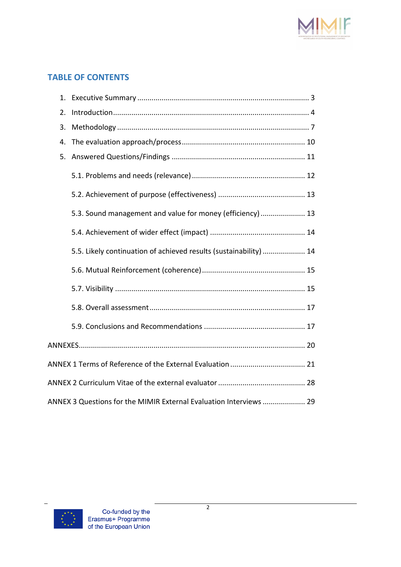

# **TABLE OF CONTENTS**

| 2. |                                                                    |
|----|--------------------------------------------------------------------|
| 3. |                                                                    |
| 4. |                                                                    |
| 5. |                                                                    |
|    |                                                                    |
|    |                                                                    |
|    | 5.3. Sound management and value for money (efficiency)  13         |
|    |                                                                    |
|    | 5.5. Likely continuation of achieved results (sustainability)  14  |
|    |                                                                    |
|    |                                                                    |
|    |                                                                    |
|    |                                                                    |
|    |                                                                    |
|    |                                                                    |
|    |                                                                    |
|    | ANNEX 3 Questions for the MIMIR External Evaluation Interviews  29 |

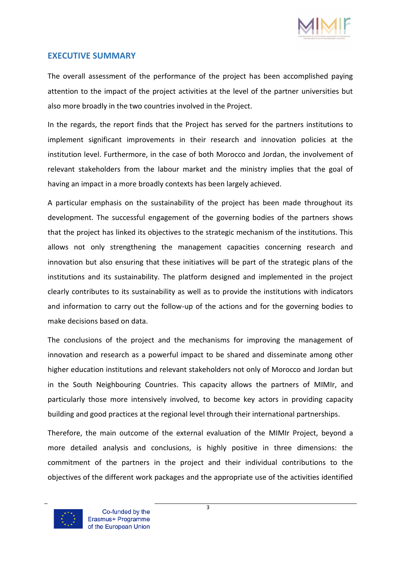

### **EXECUTIVE SUMMARY**

The overall assessment of the performance of the project has been accomplished paying attention to the impact of the project activities at the level of the partner universities but also more broadly in the two countries involved in the Project.

In the regards, the report finds that the Project has served for the partners institutions to implement significant improvements in their research and innovation policies at the institution level. Furthermore, in the case of both Morocco and Jordan, the involvement of relevant stakeholders from the labour market and the ministry implies that the goal of having an impact in a more broadly contexts has been largely achieved.

A particular emphasis on the sustainability of the project has been made throughout its development. The successful engagement of the governing bodies of the partners shows that the project has linked its objectives to the strategic mechanism of the institutions. This allows not only strengthening the management capacities concerning research and innovation but also ensuring that these initiatives will be part of the strategic plans of the institutions and its sustainability. The platform designed and implemented in the project clearly contributes to its sustainability as well as to provide the institutions with indicators and information to carry out the follow-up of the actions and for the governing bodies to make decisions based on data.

The conclusions of the project and the mechanisms for improving the management of innovation and research as a powerful impact to be shared and disseminate among other higher education institutions and relevant stakeholders not only of Morocco and Jordan but in the South Neighbouring Countries. This capacity allows the partners of MIMIr, and particularly those more intensively involved, to become key actors in providing capacity building and good practices at the regional level through their international partnerships.

Therefore, the main outcome of the external evaluation of the MIMIr Project, beyond a more detailed analysis and conclusions, is highly positive in three dimensions: the commitment of the partners in the project and their individual contributions to the objectives of the different work packages and the appropriate use of the activities identified

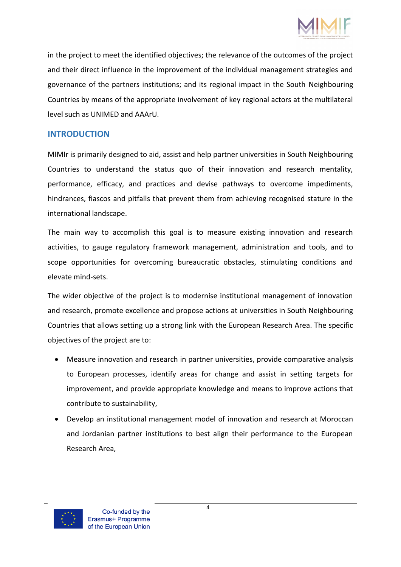

in the project to meet the identified objectives; the relevance of the outcomes of the project and their direct influence in the improvement of the individual management strategies and governance of the partners institutions; and its regional impact in the South Neighbouring Countries by means of the appropriate involvement of key regional actors at the multilateral level such as UNIMED and AAArU.

### **INTRODUCTION**

MIMIr is primarily designed to aid, assist and help partner universities in South Neighbouring Countries to understand the status quo of their innovation and research mentality, performance, efficacy, and practices and devise pathways to overcome impediments, hindrances, fiascos and pitfalls that prevent them from achieving recognised stature in the international landscape.

The main way to accomplish this goal is to measure existing innovation and research activities, to gauge regulatory framework management, administration and tools, and to scope opportunities for overcoming bureaucratic obstacles, stimulating conditions and elevate mind-sets.

The wider objective of the project is to modernise institutional management of innovation and research, promote excellence and propose actions at universities in South Neighbouring Countries that allows setting up a strong link with the European Research Area. The specific objectives of the project are to:

- Measure innovation and research in partner universities, provide comparative analysis to European processes, identify areas for change and assist in setting targets for improvement, and provide appropriate knowledge and means to improve actions that contribute to sustainability,
- Develop an institutional management model of innovation and research at Moroccan and Jordanian partner institutions to best align their performance to the European Research Area,

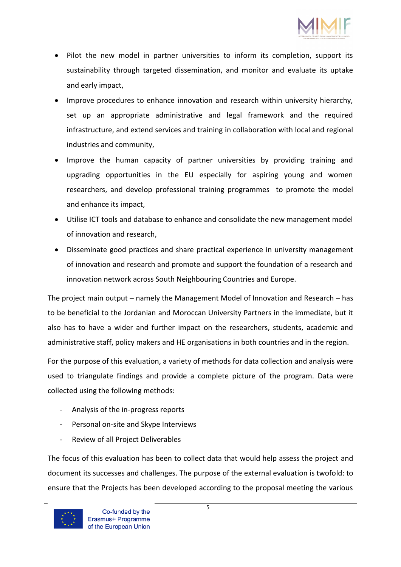

- Pilot the new model in partner universities to inform its completion, support its sustainability through targeted dissemination, and monitor and evaluate its uptake and early impact,
- Improve procedures to enhance innovation and research within university hierarchy, set up an appropriate administrative and legal framework and the required infrastructure, and extend services and training in collaboration with local and regional industries and community,
- Improve the human capacity of partner universities by providing training and upgrading opportunities in the EU especially for aspiring young and women researchers, and develop professional training programmes to promote the model and enhance its impact,
- Utilise ICT tools and database to enhance and consolidate the new management model of innovation and research,
- Disseminate good practices and share practical experience in university management of innovation and research and promote and support the foundation of a research and innovation network across South Neighbouring Countries and Europe.

The project main output – namely the Management Model of Innovation and Research – has to be beneficial to the Jordanian and Moroccan University Partners in the immediate, but it also has to have a wider and further impact on the researchers, students, academic and administrative staff, policy makers and HE organisations in both countries and in the region.

For the purpose of this evaluation, a variety of methods for data collection and analysis were used to triangulate findings and provide a complete picture of the program. Data were collected using the following methods:

- Analysis of the in-progress reports
- Personal on-site and Skype Interviews
- Review of all Project Deliverables

The focus of this evaluation has been to collect data that would help assess the project and document its successes and challenges. The purpose of the external evaluation is twofold: to ensure that the Projects has been developed according to the proposal meeting the various

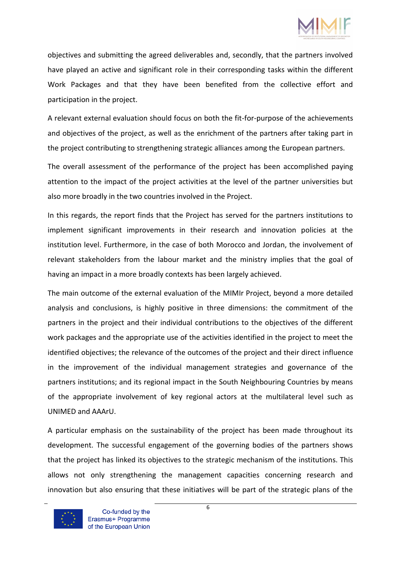

objectives and submitting the agreed deliverables and, secondly, that the partners involved have played an active and significant role in their corresponding tasks within the different Work Packages and that they have been benefited from the collective effort and participation in the project.

A relevant external evaluation should focus on both the fit-for-purpose of the achievements and objectives of the project, as well as the enrichment of the partners after taking part in the project contributing to strengthening strategic alliances among the European partners.

The overall assessment of the performance of the project has been accomplished paying attention to the impact of the project activities at the level of the partner universities but also more broadly in the two countries involved in the Project.

In this regards, the report finds that the Project has served for the partners institutions to implement significant improvements in their research and innovation policies at the institution level. Furthermore, in the case of both Morocco and Jordan, the involvement of relevant stakeholders from the labour market and the ministry implies that the goal of having an impact in a more broadly contexts has been largely achieved.

The main outcome of the external evaluation of the MIMIr Project, beyond a more detailed analysis and conclusions, is highly positive in three dimensions: the commitment of the partners in the project and their individual contributions to the objectives of the different work packages and the appropriate use of the activities identified in the project to meet the identified objectives; the relevance of the outcomes of the project and their direct influence in the improvement of the individual management strategies and governance of the partners institutions; and its regional impact in the South Neighbouring Countries by means of the appropriate involvement of key regional actors at the multilateral level such as UNIMED and AAArU.

A particular emphasis on the sustainability of the project has been made throughout its development. The successful engagement of the governing bodies of the partners shows that the project has linked its objectives to the strategic mechanism of the institutions. This allows not only strengthening the management capacities concerning research and innovation but also ensuring that these initiatives will be part of the strategic plans of the

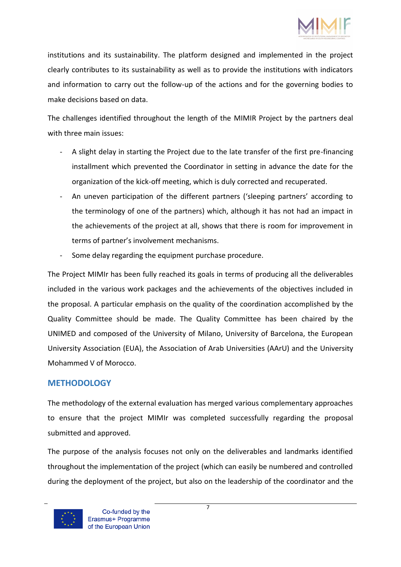

institutions and its sustainability. The platform designed and implemented in the project clearly contributes to its sustainability as well as to provide the institutions with indicators and information to carry out the follow-up of the actions and for the governing bodies to make decisions based on data.

The challenges identified throughout the length of the MIMIR Project by the partners deal with three main issues:

- A slight delay in starting the Project due to the late transfer of the first pre-financing installment which prevented the Coordinator in setting in advance the date for the organization of the kick-off meeting, which is duly corrected and recuperated.
- An uneven participation of the different partners ('sleeping partners' according to the terminology of one of the partners) which, although it has not had an impact in the achievements of the project at all, shows that there is room for improvement in terms of partner's involvement mechanisms.
- Some delay regarding the equipment purchase procedure.

The Project MIMIr has been fully reached its goals in terms of producing all the deliverables included in the various work packages and the achievements of the objectives included in the proposal. A particular emphasis on the quality of the coordination accomplished by the Quality Committee should be made. The Quality Committee has been chaired by the UNIMED and composed of the University of Milano, University of Barcelona, the European University Association (EUA), the Association of Arab Universities (AArU) and the University Mohammed V of Morocco.

### **METHODOLOGY**

The methodology of the external evaluation has merged various complementary approaches to ensure that the project MIMIr was completed successfully regarding the proposal submitted and approved.

The purpose of the analysis focuses not only on the deliverables and landmarks identified throughout the implementation of the project (which can easily be numbered and controlled during the deployment of the project, but also on the leadership of the coordinator and the

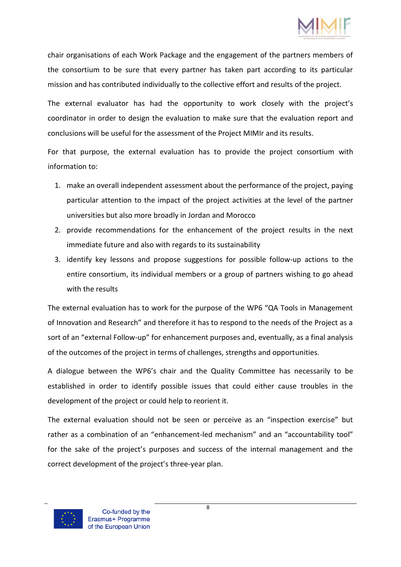

chair organisations of each Work Package and the engagement of the partners members of the consortium to be sure that every partner has taken part according to its particular mission and has contributed individually to the collective effort and results of the project.

The external evaluator has had the opportunity to work closely with the project's coordinator in order to design the evaluation to make sure that the evaluation report and conclusions will be useful for the assessment of the Project MIMIr and its results.

For that purpose, the external evaluation has to provide the project consortium with information to:

- 1. make an overall independent assessment about the performance of the project, paying particular attention to the impact of the project activities at the level of the partner universities but also more broadly in Jordan and Morocco
- 2. provide recommendations for the enhancement of the project results in the next immediate future and also with regards to its sustainability
- 3. identify key lessons and propose suggestions for possible follow-up actions to the entire consortium, its individual members or a group of partners wishing to go ahead with the results

The external evaluation has to work for the purpose of the WP6 "QA Tools in Management of Innovation and Research" and therefore it has to respond to the needs of the Project as a sort of an "external Follow-up" for enhancement purposes and, eventually, as a final analysis of the outcomes of the project in terms of challenges, strengths and opportunities.

A dialogue between the WP6's chair and the Quality Committee has necessarily to be established in order to identify possible issues that could either cause troubles in the development of the project or could help to reorient it.

The external evaluation should not be seen or perceive as an "inspection exercise" but rather as a combination of an "enhancement-led mechanism" and an "accountability tool" for the sake of the project's purposes and success of the internal management and the correct development of the project's three-year plan.

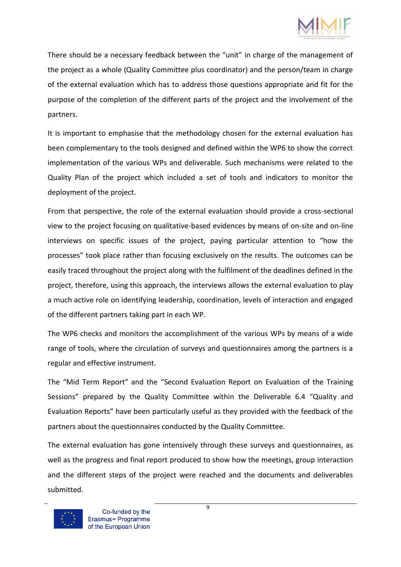

There should be a necessary feedback between the "unit" in charge of the management of the project as a whole (Quality Committee plus coordinator) and the person/team in charge of the external evaluation which has to address those questions appropriate and fit for the purpose of the completion of the different parts of the project and the involvement of the partners.

It is important to emphasise that the methodology chosen for the external evaluation has been complementary to the tools designed and defined within the WP6 to show the correct implementation of the various WPs and deliverable. Such mechanisms were related to the Quality Plan of the project which included a set of tools and indicators to monitor the deployment of the project.

From that perspective, the role of the external evaluation should provide a cross-sectional view to the project focusing on qualitative-based evidences by means of on-site and on-line interviews on specific issues of the project, paying particular attention to "how the processes" took place rather than focusing exclusively on the results. The outcomes can be easily traced throughout the project along with the fulfilment of the deadlines defined in the project, therefore, using this approach, the interviews allows the external evaluation to play a much active role on identifying leadership, coordination, levels of interaction and engaged of the different partners taking part in each WP.

The WP6 checks and monitors the accomplishment of the various WPs by means of a wide range of tools, where the circulation of surveys and questionnaires among the partners is a regular and effective instrument.

The "Mid Term Report" and the "Second Evaluation Report on Evaluation of the Training Sessions" prepared by the Quality Committee within the Deliverable 6.4 "Quality and Evaluation Reports" have been particularly useful as they provided with the feedback of the partners about the questionnaires conducted by the Quality Committee.

The external evaluation has gone intensively through these surveys and questionnaires, as well as the progress and final report produced to show how the meetings, group interaction and the different steps of the project were reached and the documents and deliverables submitted.

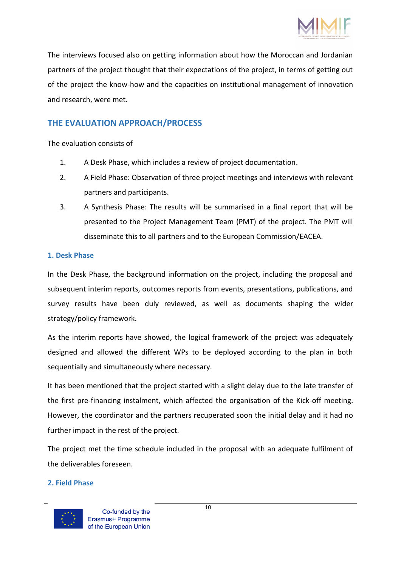

The interviews focused also on getting information about how the Moroccan and Jordanian partners of the project thought that their expectations of the project, in terms of getting out of the project the know-how and the capacities on institutional management of innovation and research, were met.

### **THE EVALUATION APPROACH/PROCESS**

The evaluation consists of

- 1. A Desk Phase, which includes a review of project documentation.
- 2. A Field Phase: Observation of three project meetings and interviews with relevant partners and participants.
- 3. A Synthesis Phase: The results will be summarised in a final report that will be presented to the Project Management Team (PMT) of the project. The PMT will disseminate this to all partners and to the European Commission/EACEA.

### **1. Desk Phase**

In the Desk Phase, the background information on the project, including the proposal and subsequent interim reports, outcomes reports from events, presentations, publications, and survey results have been duly reviewed, as well as documents shaping the wider strategy/policy framework.

As the interim reports have showed, the logical framework of the project was adequately designed and allowed the different WPs to be deployed according to the plan in both sequentially and simultaneously where necessary.

It has been mentioned that the project started with a slight delay due to the late transfer of the first pre-financing instalment, which affected the organisation of the Kick-off meeting. However, the coordinator and the partners recuperated soon the initial delay and it had no further impact in the rest of the project.

The project met the time schedule included in the proposal with an adequate fulfilment of the deliverables foreseen.

#### **2. Field Phase**

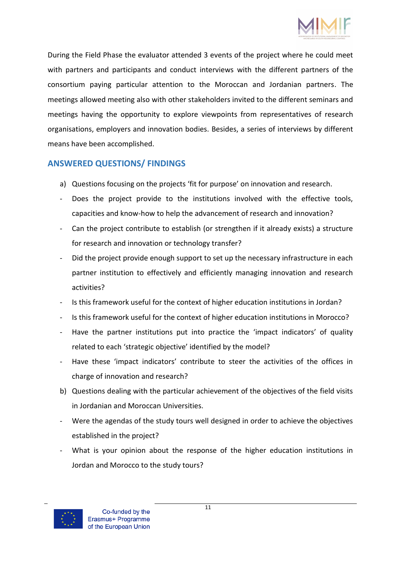

During the Field Phase the evaluator attended 3 events of the project where he could meet with partners and participants and conduct interviews with the different partners of the consortium paying particular attention to the Moroccan and Jordanian partners. The meetings allowed meeting also with other stakeholders invited to the different seminars and meetings having the opportunity to explore viewpoints from representatives of research organisations, employers and innovation bodies. Besides, a series of interviews by different means have been accomplished.

# **ANSWERED QUESTIONS/ FINDINGS**

- a) Questions focusing on the projects 'fit for purpose' on innovation and research.
- Does the project provide to the institutions involved with the effective tools, capacities and know-how to help the advancement of research and innovation?
- Can the project contribute to establish (or strengthen if it already exists) a structure for research and innovation or technology transfer?
- Did the project provide enough support to set up the necessary infrastructure in each partner institution to effectively and efficiently managing innovation and research activities?
- Is this framework useful for the context of higher education institutions in Jordan?
- Is this framework useful for the context of higher education institutions in Morocco?
- Have the partner institutions put into practice the 'impact indicators' of quality related to each 'strategic objective' identified by the model?
- Have these 'impact indicators' contribute to steer the activities of the offices in charge of innovation and research?
- b) Questions dealing with the particular achievement of the objectives of the field visits in Jordanian and Moroccan Universities.
- Were the agendas of the study tours well designed in order to achieve the objectives established in the project?
- What is your opinion about the response of the higher education institutions in Jordan and Morocco to the study tours?

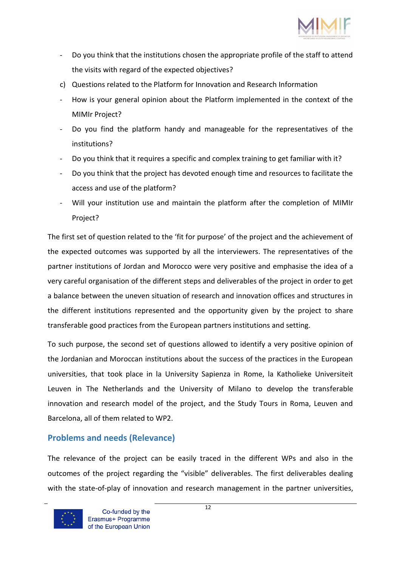

- Do you think that the institutions chosen the appropriate profile of the staff to attend the visits with regard of the expected objectives?
- c) Questions related to the Platform for Innovation and Research Information
- How is your general opinion about the Platform implemented in the context of the MIMIr Project?
- Do you find the platform handy and manageable for the representatives of the institutions?
- Do you think that it requires a specific and complex training to get familiar with it?
- Do you think that the project has devoted enough time and resources to facilitate the access and use of the platform?
- Will your institution use and maintain the platform after the completion of MIMIr Project?

The first set of question related to the 'fit for purpose' of the project and the achievement of the expected outcomes was supported by all the interviewers. The representatives of the partner institutions of Jordan and Morocco were very positive and emphasise the idea of a very careful organisation of the different steps and deliverables of the project in order to get a balance between the uneven situation of research and innovation offices and structures in the different institutions represented and the opportunity given by the project to share transferable good practices from the European partners institutions and setting.

To such purpose, the second set of questions allowed to identify a very positive opinion of the Jordanian and Moroccan institutions about the success of the practices in the European universities, that took place in la University Sapienza in Rome, la Katholieke Universiteit Leuven in The Netherlands and the University of Milano to develop the transferable innovation and research model of the project, and the Study Tours in Roma, Leuven and Barcelona, all of them related to WP2.

# **Problems and needs (Relevance)**

The relevance of the project can be easily traced in the different WPs and also in the outcomes of the project regarding the "visible" deliverables. The first deliverables dealing with the state-of-play of innovation and research management in the partner universities,

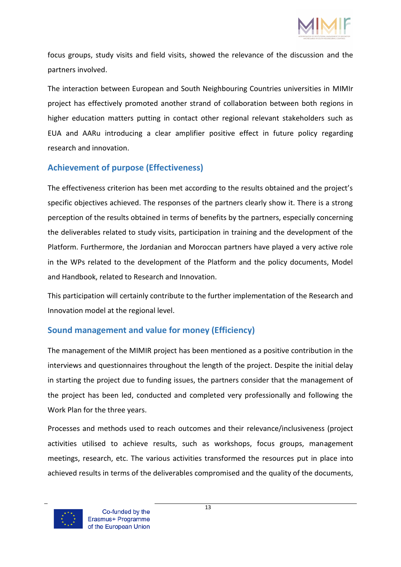

focus groups, study visits and field visits, showed the relevance of the discussion and the partners involved.

The interaction between European and South Neighbouring Countries universities in MIMIr project has effectively promoted another strand of collaboration between both regions in higher education matters putting in contact other regional relevant stakeholders such as EUA and AARu introducing a clear amplifier positive effect in future policy regarding research and innovation.

# **Achievement of purpose (Effectiveness)**

The effectiveness criterion has been met according to the results obtained and the project's specific objectives achieved. The responses of the partners clearly show it. There is a strong perception of the results obtained in terms of benefits by the partners, especially concerning the deliverables related to study visits, participation in training and the development of the Platform. Furthermore, the Jordanian and Moroccan partners have played a very active role in the WPs related to the development of the Platform and the policy documents, Model and Handbook, related to Research and Innovation.

This participation will certainly contribute to the further implementation of the Research and Innovation model at the regional level.

# **Sound management and value for money (Efficiency)**

The management of the MIMIR project has been mentioned as a positive contribution in the interviews and questionnaires throughout the length of the project. Despite the initial delay in starting the project due to funding issues, the partners consider that the management of the project has been led, conducted and completed very professionally and following the Work Plan for the three years.

Processes and methods used to reach outcomes and their relevance/inclusiveness (project activities utilised to achieve results, such as workshops, focus groups, management meetings, research, etc. The various activities transformed the resources put in place into achieved results in terms of the deliverables compromised and the quality of the documents,

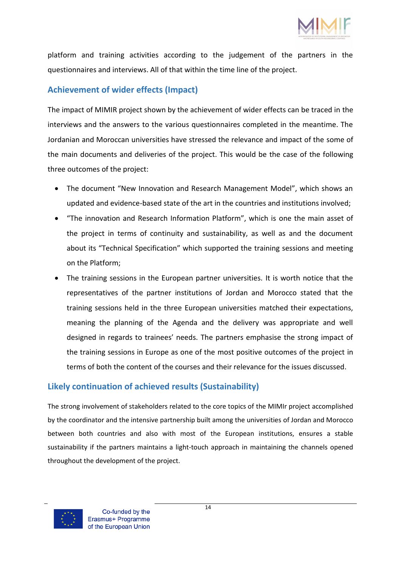

platform and training activities according to the judgement of the partners in the questionnaires and interviews. All of that within the time line of the project.

# **Achievement of wider effects (Impact)**

The impact of MIMIR project shown by the achievement of wider effects can be traced in the interviews and the answers to the various questionnaires completed in the meantime. The Jordanian and Moroccan universities have stressed the relevance and impact of the some of the main documents and deliveries of the project. This would be the case of the following three outcomes of the project:

- The document "New Innovation and Research Management Model", which shows an updated and evidence-based state of the art in the countries and institutions involved;
- "The innovation and Research Information Platform", which is one the main asset of the project in terms of continuity and sustainability, as well as and the document about its "Technical Specification" which supported the training sessions and meeting on the Platform;
- The training sessions in the European partner universities. It is worth notice that the representatives of the partner institutions of Jordan and Morocco stated that the training sessions held in the three European universities matched their expectations, meaning the planning of the Agenda and the delivery was appropriate and well designed in regards to trainees' needs. The partners emphasise the strong impact of the training sessions in Europe as one of the most positive outcomes of the project in terms of both the content of the courses and their relevance for the issues discussed.

# **Likely continuation of achieved results (Sustainability)**

The strong involvement of stakeholders related to the core topics of the MIMIr project accomplished by the coordinator and the intensive partnership built among the universities of Jordan and Morocco between both countries and also with most of the European institutions, ensures a stable sustainability if the partners maintains a light-touch approach in maintaining the channels opened throughout the development of the project.

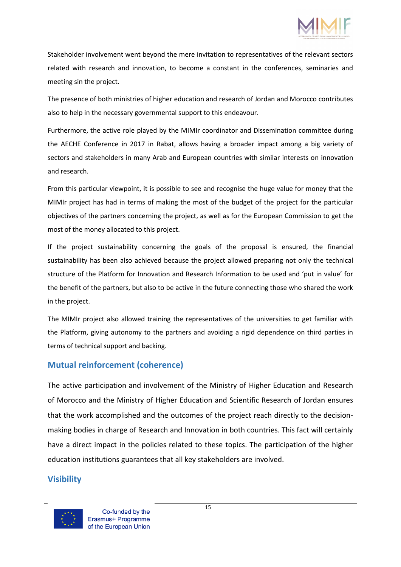

Stakeholder involvement went beyond the mere invitation to representatives of the relevant sectors related with research and innovation, to become a constant in the conferences, seminaries and meeting sin the project.

The presence of both ministries of higher education and research of Jordan and Morocco contributes also to help in the necessary governmental support to this endeavour.

Furthermore, the active role played by the MIMIr coordinator and Dissemination committee during the AECHE Conference in 2017 in Rabat, allows having a broader impact among a big variety of sectors and stakeholders in many Arab and European countries with similar interests on innovation and research.

From this particular viewpoint, it is possible to see and recognise the huge value for money that the MIMIr project has had in terms of making the most of the budget of the project for the particular objectives of the partners concerning the project, as well as for the European Commission to get the most of the money allocated to this project.

If the project sustainability concerning the goals of the proposal is ensured, the financial sustainability has been also achieved because the project allowed preparing not only the technical structure of the Platform for Innovation and Research Information to be used and 'put in value' for the benefit of the partners, but also to be active in the future connecting those who shared the work in the project.

The MIMIr project also allowed training the representatives of the universities to get familiar with the Platform, giving autonomy to the partners and avoiding a rigid dependence on third parties in terms of technical support and backing.

# **Mutual reinforcement (coherence)**

The active participation and involvement of the Ministry of Higher Education and Research of Morocco and the Ministry of Higher Education and Scientific Research of Jordan ensures that the work accomplished and the outcomes of the project reach directly to the decisionmaking bodies in charge of Research and Innovation in both countries. This fact will certainly have a direct impact in the policies related to these topics. The participation of the higher education institutions guarantees that all key stakeholders are involved.

### **Visibility**

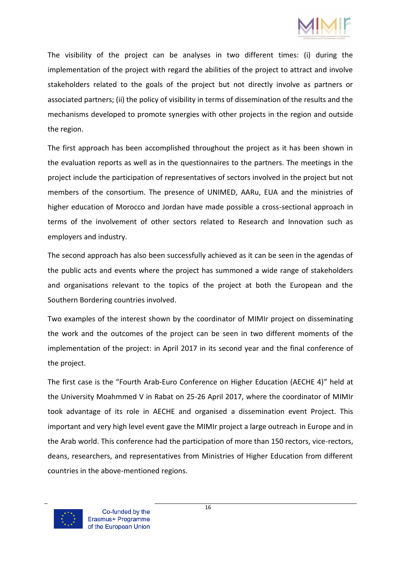

The visibility of the project can be analyses in two different times: (i) during the implementation of the project with regard the abilities of the project to attract and involve stakeholders related to the goals of the project but not directly involve as partners or associated partners; (ii) the policy of visibility in terms of dissemination of the results and the mechanisms developed to promote synergies with other projects in the region and outside the region.

The first approach has been accomplished throughout the project as it has been shown in the evaluation reports as well as in the questionnaires to the partners. The meetings in the project include the participation of representatives of sectors involved in the project but not members of the consortium. The presence of UNIMED, AARu, EUA and the ministries of higher education of Morocco and Jordan have made possible a cross-sectional approach in terms of the involvement of other sectors related to Research and Innovation such as employers and industry.

The second approach has also been successfully achieved as it can be seen in the agendas of the public acts and events where the project has summoned a wide range of stakeholders and organisations relevant to the topics of the project at both the European and the Southern Bordering countries involved.

Two examples of the interest shown by the coordinator of MIMIr project on disseminating the work and the outcomes of the project can be seen in two different moments of the implementation of the project: in April 2017 in its second year and the final conference of the project.

The first case is the "Fourth Arab-Euro Conference on Higher Education (AECHE 4)" held at the University Moahmmed V in Rabat on 25-26 April 2017, where the coordinator of MIMIr took advantage of its role in AECHE and organised a dissemination event Project. This important and very high level event gave the MIMIr project a large outreach in Europe and in the Arab world. This conference had the participation of more than 150 rectors, vice-rectors, deans, researchers, and representatives from Ministries of Higher Education from different countries in the above-mentioned regions.

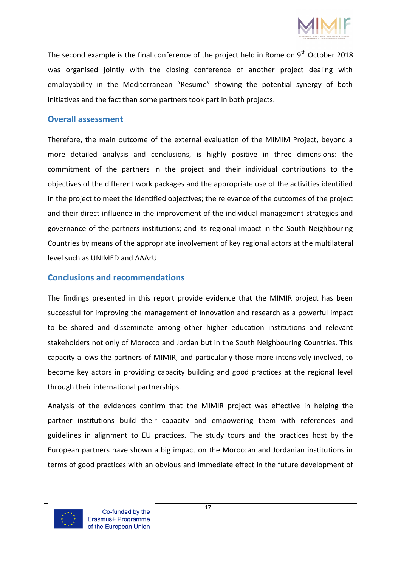

The second example is the final conference of the project held in Rome on  $9<sup>th</sup>$  October 2018 was organised jointly with the closing conference of another project dealing with employability in the Mediterranean "Resume" showing the potential synergy of both initiatives and the fact than some partners took part in both projects.

### **Overall assessment**

Therefore, the main outcome of the external evaluation of the MIMIM Project, beyond a more detailed analysis and conclusions, is highly positive in three dimensions: the commitment of the partners in the project and their individual contributions to the objectives of the different work packages and the appropriate use of the activities identified in the project to meet the identified objectives; the relevance of the outcomes of the project and their direct influence in the improvement of the individual management strategies and governance of the partners institutions; and its regional impact in the South Neighbouring Countries by means of the appropriate involvement of key regional actors at the multilateral level such as UNIMED and AAArU.

### **Conclusions and recommendations**

The findings presented in this report provide evidence that the MIMIR project has been successful for improving the management of innovation and research as a powerful impact to be shared and disseminate among other higher education institutions and relevant stakeholders not only of Morocco and Jordan but in the South Neighbouring Countries. This capacity allows the partners of MIMIR, and particularly those more intensively involved, to become key actors in providing capacity building and good practices at the regional level through their international partnerships.

Analysis of the evidences confirm that the MIMIR project was effective in helping the partner institutions build their capacity and empowering them with references and guidelines in alignment to EU practices. The study tours and the practices host by the European partners have shown a big impact on the Moroccan and Jordanian institutions in terms of good practices with an obvious and immediate effect in the future development of

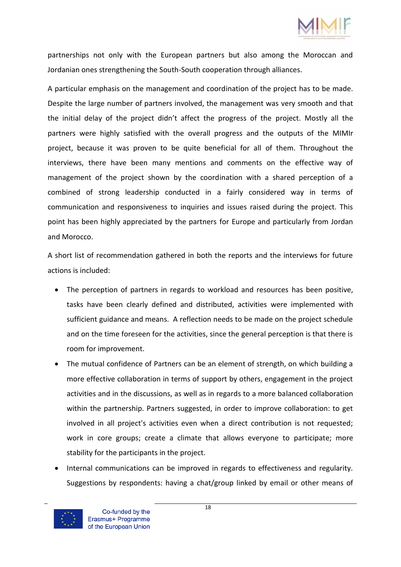

partnerships not only with the European partners but also among the Moroccan and Jordanian ones strengthening the South-South cooperation through alliances.

A particular emphasis on the management and coordination of the project has to be made. Despite the large number of partners involved, the management was very smooth and that the initial delay of the project didn't affect the progress of the project. Mostly all the partners were highly satisfied with the overall progress and the outputs of the MIMIr project, because it was proven to be quite beneficial for all of them. Throughout the interviews, there have been many mentions and comments on the effective way of management of the project shown by the coordination with a shared perception of a combined of strong leadership conducted in a fairly considered way in terms of communication and responsiveness to inquiries and issues raised during the project. This point has been highly appreciated by the partners for Europe and particularly from Jordan and Morocco.

A short list of recommendation gathered in both the reports and the interviews for future actions is included:

- The perception of partners in regards to workload and resources has been positive, tasks have been clearly defined and distributed, activities were implemented with sufficient guidance and means. A reflection needs to be made on the project schedule and on the time foreseen for the activities, since the general perception is that there is room for improvement.
- The mutual confidence of Partners can be an element of strength, on which building a more effective collaboration in terms of support by others, engagement in the project activities and in the discussions, as well as in regards to a more balanced collaboration within the partnership. Partners suggested, in order to improve collaboration: to get involved in all project's activities even when a direct contribution is not requested; work in core groups; create a climate that allows everyone to participate; more stability for the participants in the project.
- Internal communications can be improved in regards to effectiveness and regularity. Suggestions by respondents: having a chat/group linked by email or other means of

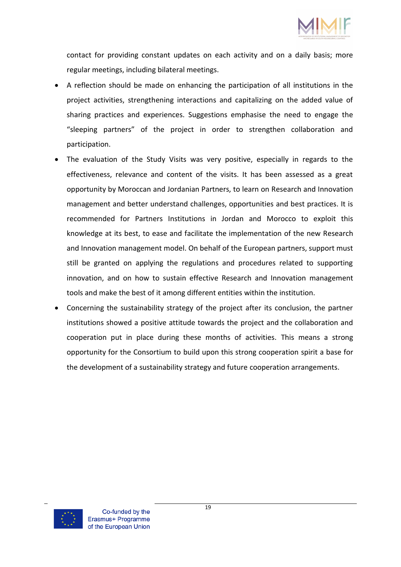

contact for providing constant updates on each activity and on a daily basis; more regular meetings, including bilateral meetings.

- A reflection should be made on enhancing the participation of all institutions in the project activities, strengthening interactions and capitalizing on the added value of sharing practices and experiences. Suggestions emphasise the need to engage the "sleeping partners" of the project in order to strengthen collaboration and participation.
- The evaluation of the Study Visits was very positive, especially in regards to the effectiveness, relevance and content of the visits. It has been assessed as a great opportunity by Moroccan and Jordanian Partners, to learn on Research and Innovation management and better understand challenges, opportunities and best practices. It is recommended for Partners Institutions in Jordan and Morocco to exploit this knowledge at its best, to ease and facilitate the implementation of the new Research and Innovation management model. On behalf of the European partners, support must still be granted on applying the regulations and procedures related to supporting innovation, and on how to sustain effective Research and Innovation management tools and make the best of it among different entities within the institution.
- Concerning the sustainability strategy of the project after its conclusion, the partner institutions showed a positive attitude towards the project and the collaboration and cooperation put in place during these months of activities. This means a strong opportunity for the Consortium to build upon this strong cooperation spirit a base for the development of a sustainability strategy and future cooperation arrangements.

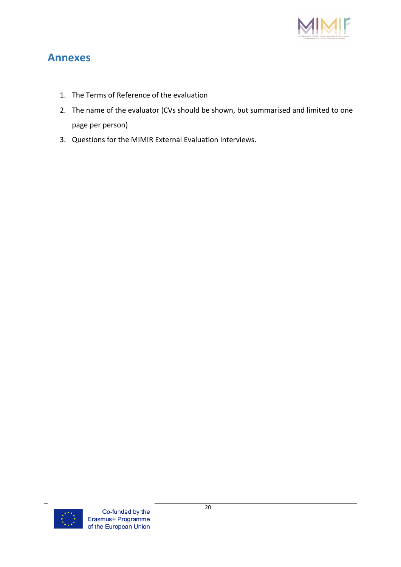

# **Annexes**

- 1. The Terms of Reference of the evaluation
- 2. The name of the evaluator (CVs should be shown, but summarised and limited to one page per person)
- 3. Questions for the MIMIR External Evaluation Interviews.

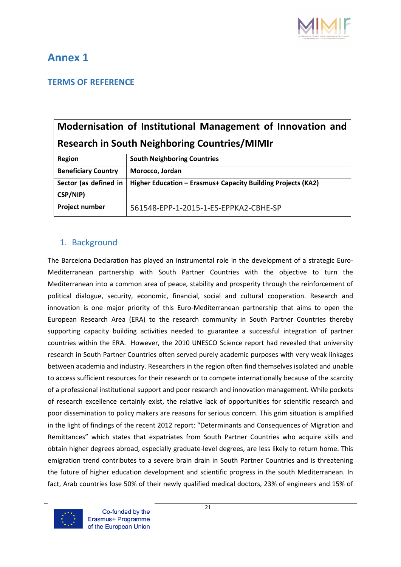

# **Annex 1**

### **TERMS OF REFERENCE**

# **Modernisation of Institutional Management of Innovation and Research in South Neighboring Countries/MIMIr**

| <b>Region</b>                       | <b>South Neighboring Countries</b>                           |  |  |
|-------------------------------------|--------------------------------------------------------------|--|--|
| <b>Beneficiary Country</b>          | Morocco, Jordan                                              |  |  |
| Sector (as defined in  <br>CSP/NIP) | Higher Education - Erasmus+ Capacity Building Projects (KA2) |  |  |
| Project number                      | 561548-EPP-1-2015-1-ES-EPPKA2-CBHE-SP                        |  |  |

### 1. Background

The Barcelona Declaration has played an instrumental role in the development of a strategic Euro-Mediterranean partnership with South Partner Countries with the objective to turn the Mediterranean into a common area of peace, stability and prosperity through the reinforcement of political dialogue, security, economic, financial, social and cultural cooperation. Research and innovation is one major priority of this Euro-Mediterranean partnership that aims to open the European Research Area (ERA) to the research community in South Partner Countries thereby supporting capacity building activities needed to guarantee a successful integration of partner countries within the ERA. However, the 2010 UNESCO Science report had revealed that university research in South Partner Countries often served purely academic purposes with very weak linkages between academia and industry. Researchers in the region often find themselves isolated and unable to access sufficient resources for their research or to compete internationally because of the scarcity of a professional institutional support and poor research and innovation management. While pockets of research excellence certainly exist, the relative lack of opportunities for scientific research and poor dissemination to policy makers are reasons for serious concern. This grim situation is amplified in the light of findings of the recent 2012 report: "Determinants and Consequences of Migration and Remittances" which states that expatriates from South Partner Countries who acquire skills and obtain higher degrees abroad, especially graduate-level degrees, are less likely to return home. This emigration trend contributes to a severe brain drain in South Partner Countries and is threatening the future of higher education development and scientific progress in the south Mediterranean. In fact, Arab countries lose 50% of their newly qualified medical doctors, 23% of engineers and 15% of

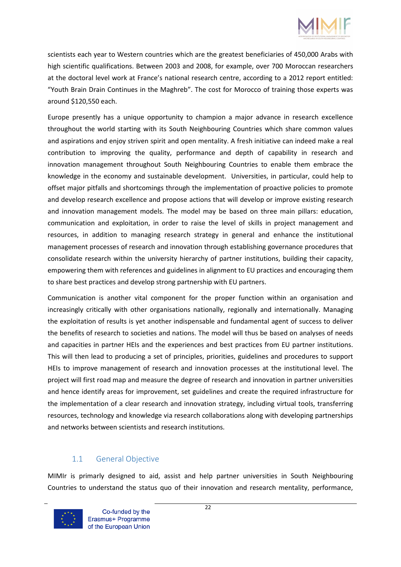

scientists each year to Western countries which are the greatest beneficiaries of 450,000 Arabs with high scientific qualifications. Between 2003 and 2008, for example, over 700 Moroccan researchers at the doctoral level work at France's national research centre, according to a 2012 report entitled: "Youth Brain Drain Continues in the Maghreb". The cost for Morocco of training those experts was around \$120,550 each.

Europe presently has a unique opportunity to champion a major advance in research excellence throughout the world starting with its South Neighbouring Countries which share common values and aspirations and enjoy striven spirit and open mentality. A fresh initiative can indeed make a real contribution to improving the quality, performance and depth of capability in research and innovation management throughout South Neighbouring Countries to enable them embrace the knowledge in the economy and sustainable development. Universities, in particular, could help to offset major pitfalls and shortcomings through the implementation of proactive policies to promote and develop research excellence and propose actions that will develop or improve existing research and innovation management models. The model may be based on three main pillars: education, communication and exploitation, in order to raise the level of skills in project management and resources, in addition to managing research strategy in general and enhance the institutional management processes of research and innovation through establishing governance procedures that consolidate research within the university hierarchy of partner institutions, building their capacity, empowering them with references and guidelines in alignment to EU practices and encouraging them to share best practices and develop strong partnership with EU partners.

Communication is another vital component for the proper function within an organisation and increasingly critically with other organisations nationally, regionally and internationally. Managing the exploitation of results is yet another indispensable and fundamental agent of success to deliver the benefits of research to societies and nations. The model will thus be based on analyses of needs and capacities in partner HEIs and the experiences and best practices from EU partner institutions. This will then lead to producing a set of principles, priorities, guidelines and procedures to support HEIs to improve management of research and innovation processes at the institutional level. The project will first road map and measure the degree of research and innovation in partner universities and hence identify areas for improvement, set guidelines and create the required infrastructure for the implementation of a clear research and innovation strategy, including virtual tools, transferring resources, technology and knowledge via research collaborations along with developing partnerships and networks between scientists and research institutions.

### 1.1 General Objective

MIMIr is primarly designed to aid, assist and help partner universities in South Neighbouring Countries to understand the status quo of their innovation and research mentality, performance,

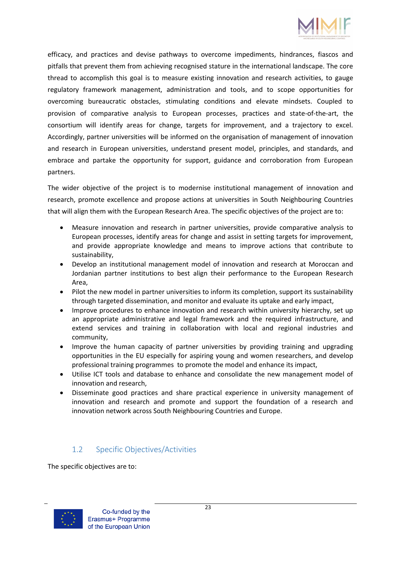

efficacy, and practices and devise pathways to overcome impediments, hindrances, fiascos and pitfalls that prevent them from achieving recognised stature in the international landscape. The core thread to accomplish this goal is to measure existing innovation and research activities, to gauge regulatory framework management, administration and tools, and to scope opportunities for overcoming bureaucratic obstacles, stimulating conditions and elevate mindsets. Coupled to provision of comparative analysis to European processes, practices and state-of-the-art, the consortium will identify areas for change, targets for improvement, and a trajectory to excel. Accordingly, partner universities will be informed on the organisation of management of innovation and research in European universities, understand present model, principles, and standards, and embrace and partake the opportunity for support, guidance and corroboration from European partners.

The wider objective of the project is to modernise institutional management of innovation and research, promote excellence and propose actions at universities in South Neighbouring Countries that will align them with the European Research Area. The specific objectives of the project are to:

- Measure innovation and research in partner universities, provide comparative analysis to European processes, identify areas for change and assist in setting targets for improvement, and provide appropriate knowledge and means to improve actions that contribute to sustainability,
- Develop an institutional management model of innovation and research at Moroccan and Jordanian partner institutions to best align their performance to the European Research Area,
- Pilot the new model in partner universities to inform its completion, support its sustainability through targeted dissemination, and monitor and evaluate its uptake and early impact,
- Improve procedures to enhance innovation and research within university hierarchy, set up an appropriate administrative and legal framework and the required infrastructure, and extend services and training in collaboration with local and regional industries and community,
- Improve the human capacity of partner universities by providing training and upgrading opportunities in the EU especially for aspiring young and women researchers, and develop professional training programmes to promote the model and enhance its impact,
- Utilise ICT tools and database to enhance and consolidate the new management model of innovation and research,
- Disseminate good practices and share practical experience in university management of innovation and research and promote and support the foundation of a research and innovation network across South Neighbouring Countries and Europe.

### 1.2 Specific Objectives/Activities

The specific objectives are to:

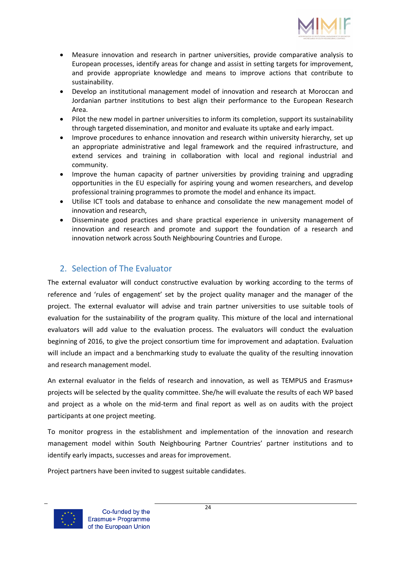

- Measure innovation and research in partner universities, provide comparative analysis to European processes, identify areas for change and assist in setting targets for improvement, and provide appropriate knowledge and means to improve actions that contribute to sustainability.
- Develop an institutional management model of innovation and research at Moroccan and Jordanian partner institutions to best align their performance to the European Research Area.
- Pilot the new model in partner universities to inform its completion, support its sustainability through targeted dissemination, and monitor and evaluate its uptake and early impact.
- Improve procedures to enhance innovation and research within university hierarchy, set up an appropriate administrative and legal framework and the required infrastructure, and extend services and training in collaboration with local and regional industrial and community.
- Improve the human capacity of partner universities by providing training and upgrading opportunities in the EU especially for aspiring young and women researchers, and develop professional training programmes to promote the model and enhance its impact.
- Utilise ICT tools and database to enhance and consolidate the new management model of innovation and research,
- Disseminate good practices and share practical experience in university management of innovation and research and promote and support the foundation of a research and innovation network across South Neighbouring Countries and Europe.

# 2. Selection of The Evaluator

The external evaluator will conduct constructive evaluation by working according to the terms of reference and 'rules of engagement' set by the project quality manager and the manager of the project. The external evaluator will advise and train partner universities to use suitable tools of evaluation for the sustainability of the program quality. This mixture of the local and international evaluators will add value to the evaluation process. The evaluators will conduct the evaluation beginning of 2016, to give the project consortium time for improvement and adaptation. Evaluation will include an impact and a benchmarking study to evaluate the quality of the resulting innovation and research management model.

An external evaluator in the fields of research and innovation, as well as TEMPUS and Erasmus+ projects will be selected by the quality committee. She/he will evaluate the results of each WP based and project as a whole on the mid-term and final report as well as on audits with the project participants at one project meeting.

To monitor progress in the establishment and implementation of the innovation and research management model within South Neighbouring Partner Countries' partner institutions and to identify early impacts, successes and areas for improvement.

Project partners have been invited to suggest suitable candidates.

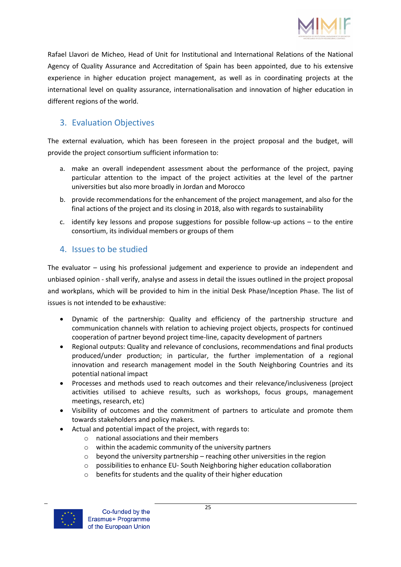

Rafael Llavori de Micheo, Head of Unit for Institutional and International Relations of the National Agency of Quality Assurance and Accreditation of Spain has been appointed, due to his extensive experience in higher education project management, as well as in coordinating projects at the international level on quality assurance, internationalisation and innovation of higher education in different regions of the world.

# 3. Evaluation Objectives

The external evaluation, which has been foreseen in the project proposal and the budget, will provide the project consortium sufficient information to:

- a. make an overall independent assessment about the performance of the project, paying particular attention to the impact of the project activities at the level of the partner universities but also more broadly in Jordan and Morocco
- b. provide recommendations for the enhancement of the project management, and also for the final actions of the project and its closing in 2018, also with regards to sustainability
- c. identify key lessons and propose suggestions for possible follow-up actions to the entire consortium, its individual members or groups of them

# 4. Issues to be studied

The evaluator – using his professional judgement and experience to provide an independent and unbiased opinion - shall verify, analyse and assess in detail the issues outlined in the project proposal and workplans, which will be provided to him in the initial Desk Phase/Inception Phase. The list of issues is not intended to be exhaustive:

- Dynamic of the partnership: Quality and efficiency of the partnership structure and communication channels with relation to achieving project objects, prospects for continued cooperation of partner beyond project time-line, capacity development of partners
- Regional outputs: Quality and relevance of conclusions, recommendations and final products produced/under production; in particular, the further implementation of a regional innovation and research management model in the South Neighboring Countries and its potential national impact
- Processes and methods used to reach outcomes and their relevance/inclusiveness (project activities utilised to achieve results, such as workshops, focus groups, management meetings, research, etc)
- Visibility of outcomes and the commitment of partners to articulate and promote them towards stakeholders and policy makers.
- Actual and potential impact of the project, with regards to:
	- o national associations and their members
	- o within the academic community of the university partners
	- $\circ$  beyond the university partnership reaching other universities in the region
	- o possibilities to enhance EU- South Neighboring higher education collaboration
	- o benefits for students and the quality of their higher education

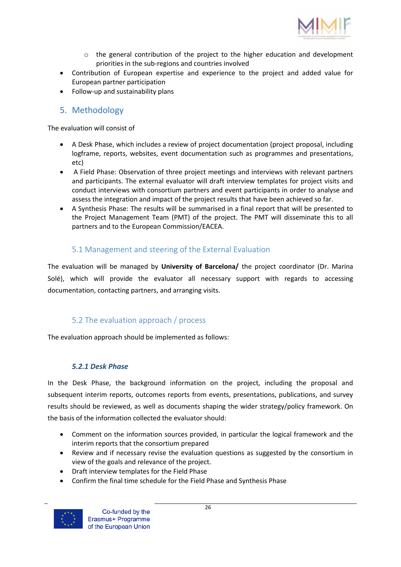

- $\circ$  the general contribution of the project to the higher education and development priorities in the sub-regions and countries involved
- Contribution of European expertise and experience to the project and added value for European partner participation
- Follow-up and sustainability plans

### 5. Methodology

The evaluation will consist of

- A Desk Phase, which includes a review of project documentation (project proposal, including logframe, reports, websites, event documentation such as programmes and presentations, etc)
- A Field Phase: Observation of three project meetings and interviews with relevant partners and participants. The external evaluator will draft interview templates for project visits and conduct interviews with consortium partners and event participants in order to analyse and assess the integration and impact of the project results that have been achieved so far.
- A Synthesis Phase: The results will be summarised in a final report that will be presented to the Project Management Team (PMT) of the project. The PMT will disseminate this to all partners and to the European Commission/EACEA.

### 5.1 Management and steering of the External Evaluation

The evaluation will be managed by **University of Barcelona/** the project coordinator (Dr. Marina Solé), which will provide the evaluator all necessary support with regards to accessing documentation, contacting partners, and arranging visits.

### 5.2 The evaluation approach / process

The evaluation approach should be implemented as follows:

### *5.2.1 Desk Phase*

In the Desk Phase, the background information on the project, including the proposal and subsequent interim reports, outcomes reports from events, presentations, publications, and survey results should be reviewed, as well as documents shaping the wider strategy/policy framework. On the basis of the information collected the evaluator should:

- Comment on the information sources provided, in particular the logical framework and the interim reports that the consortium prepared
- Review and if necessary revise the evaluation questions as suggested by the consortium in view of the goals and relevance of the project.
- Draft interview templates for the Field Phase
- Confirm the final time schedule for the Field Phase and Synthesis Phase



Co-funded by the Erasmus+ Programme of the European Union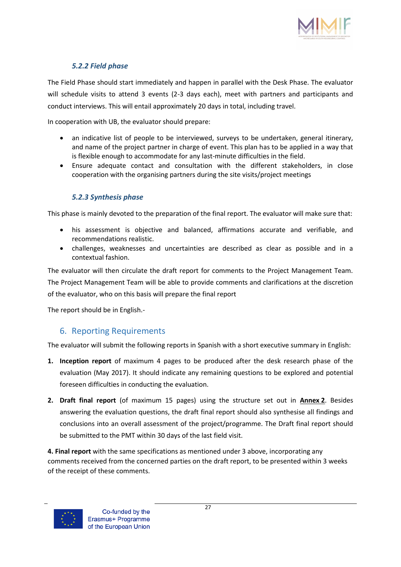

### *5.2.2 Field phase*

The Field Phase should start immediately and happen in parallel with the Desk Phase. The evaluator will schedule visits to attend 3 events (2-3 days each), meet with partners and participants and conduct interviews. This will entail approximately 20 days in total, including travel.

In cooperation with UB, the evaluator should prepare:

- an indicative list of people to be interviewed, surveys to be undertaken, general itinerary, and name of the project partner in charge of event. This plan has to be applied in a way that is flexible enough to accommodate for any last-minute difficulties in the field.
- Ensure adequate contact and consultation with the different stakeholders, in close cooperation with the organising partners during the site visits/project meetings

### *5.2.3 Synthesis phase*

This phase is mainly devoted to the preparation of the final report. The evaluator will make sure that:

- his assessment is objective and balanced, affirmations accurate and verifiable, and recommendations realistic.
- challenges, weaknesses and uncertainties are described as clear as possible and in a contextual fashion.

The evaluator will then circulate the draft report for comments to the Project Management Team. The Project Management Team will be able to provide comments and clarifications at the discretion of the evaluator, who on this basis will prepare the final report

The report should be in English.-

### 6. Reporting Requirements

The evaluator will submit the following reports in Spanish with a short executive summary in English:

- **1. Inception report** of maximum 4 pages to be produced after the desk research phase of the evaluation (May 2017). It should indicate any remaining questions to be explored and potential foreseen difficulties in conducting the evaluation.
- **2. Draft final report** (of maximum 15 pages) using the structure set out in **Annex 2**. Besides answering the evaluation questions, the draft final report should also synthesise all findings and conclusions into an overall assessment of the project/programme. The Draft final report should be submitted to the PMT within 30 days of the last field visit.

**4. Final report** with the same specifications as mentioned under 3 above, incorporating any comments received from the concerned parties on the draft report, to be presented within 3 weeks of the receipt of these comments.

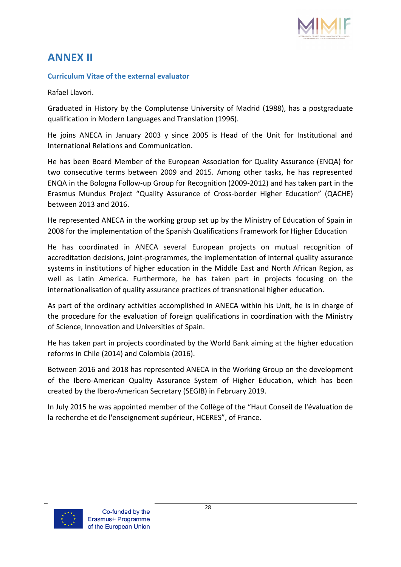

# **ANNEX II**

### **Curriculum Vitae of the external evaluator**

Rafael Llavori.

Graduated in History by the Complutense University of Madrid (1988), has a postgraduate qualification in Modern Languages and Translation (1996).

He joins ANECA in January 2003 y since 2005 is Head of the Unit for Institutional and International Relations and Communication.

He has been Board Member of the European Association for Quality Assurance (ENQA) for two consecutive terms between 2009 and 2015. Among other tasks, he has represented ENQA in the Bologna Follow-up Group for Recognition (2009-2012) and has taken part in the Erasmus Mundus Project "Quality Assurance of Cross-border Higher Education" (QACHE) between 2013 and 2016.

He represented ANECA in the working group set up by the Ministry of Education of Spain in 2008 for the implementation of the Spanish Qualifications Framework for Higher Education

He has coordinated in ANECA several European projects on mutual recognition of accreditation decisions, joint-programmes, the implementation of internal quality assurance systems in institutions of higher education in the Middle East and North African Region, as well as Latin America. Furthermore, he has taken part in projects focusing on the internationalisation of quality assurance practices of transnational higher education.

As part of the ordinary activities accomplished in ANECA within his Unit, he is in charge of the procedure for the evaluation of foreign qualifications in coordination with the Ministry of Science, Innovation and Universities of Spain.

He has taken part in projects coordinated by the World Bank aiming at the higher education reforms in Chile (2014) and Colombia (2016).

Between 2016 and 2018 has represented ANECA in the Working Group on the development of the Ibero-American Quality Assurance System of Higher Education, which has been created by the Ibero-American Secretary (SEGIB) in February 2019.

In July 2015 he was appointed member of the Collège of the "Haut Conseil de l'évaluation de la recherche et de l'enseignement supérieur, HCERES", of France.

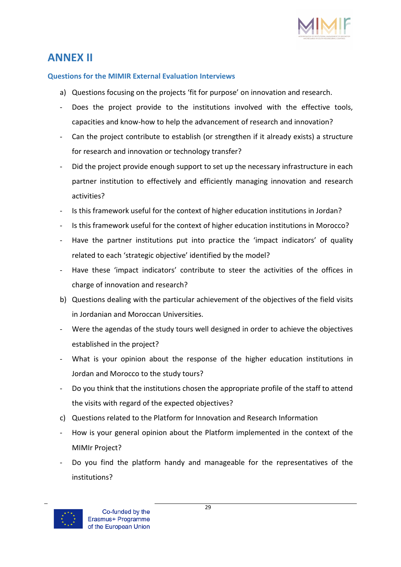

# **ANNEX II**

### **Questions for the MIMIR External Evaluation Interviews**

- a) Questions focusing on the projects 'fit for purpose' on innovation and research.
- Does the project provide to the institutions involved with the effective tools, capacities and know-how to help the advancement of research and innovation?
- Can the project contribute to establish (or strengthen if it already exists) a structure for research and innovation or technology transfer?
- Did the project provide enough support to set up the necessary infrastructure in each partner institution to effectively and efficiently managing innovation and research activities?
- Is this framework useful for the context of higher education institutions in Jordan?
- Is this framework useful for the context of higher education institutions in Morocco?
- Have the partner institutions put into practice the 'impact indicators' of quality related to each 'strategic objective' identified by the model?
- Have these 'impact indicators' contribute to steer the activities of the offices in charge of innovation and research?
- b) Questions dealing with the particular achievement of the objectives of the field visits in Jordanian and Moroccan Universities.
- Were the agendas of the study tours well designed in order to achieve the objectives established in the project?
- What is your opinion about the response of the higher education institutions in Jordan and Morocco to the study tours?
- Do you think that the institutions chosen the appropriate profile of the staff to attend the visits with regard of the expected objectives?
- c) Questions related to the Platform for Innovation and Research Information
- How is your general opinion about the Platform implemented in the context of the MIMIr Project?
- Do you find the platform handy and manageable for the representatives of the institutions?